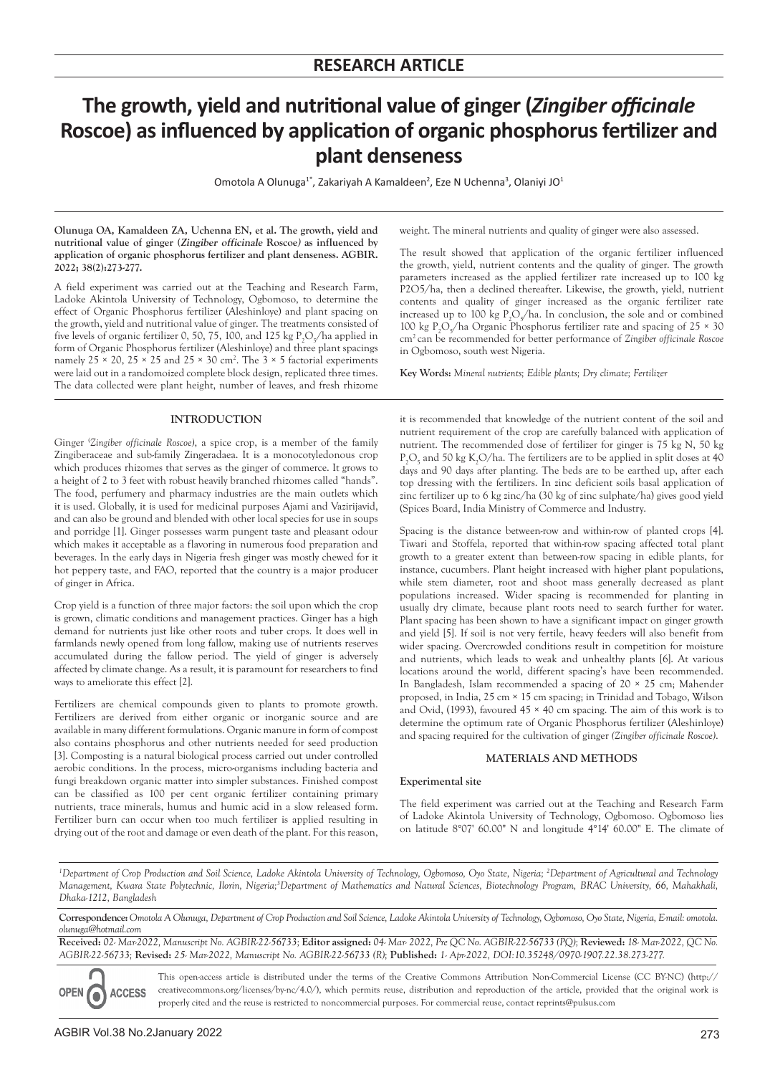# **The growth, yield and nutritional value of ginger (***Zingiber officinale*  **Roscoe) as influenced by application of organic phosphorus fertilizer and plant denseness**

Omotola A Olunuga<sup>1\*</sup>, Zakariyah A Kamaldeen<sup>2</sup>, Eze N Uchenna<sup>3</sup>, Olaniyi JO<sup>1</sup>

**Olunuga OA, Kamaldeen ZA, Uchenna EN, et al. The growth, yield and nutritional value of ginger (Zingiber officinale Roscoe) as influenced by application of organic phosphorus fertilizer and plant denseness. AGBIR. 2022; 38(2):273-277.**

A field experiment was carried out at the Teaching and Research Farm, Ladoke Akintola University of Technology, Ogbomoso, to determine the effect of Organic Phosphorus fertilizer (Aleshinloye) and plant spacing on the growth, yield and nutritional value of ginger. The treatments consisted of five levels of organic fertilizer 0, 50, 75, 100, and 125 kg  $P_2O_5$ /ha applied in form of Organic Phosphorus fertilizer (Aleshinloye) and three plant spacings namely  $25 \times 20$ ,  $25 \times 25$  and  $25 \times 30$  cm<sup>2</sup>. The  $3 \times 5$  factorial experiments were laid out in a randomoized complete block design, replicated three times. The data collected were plant height, number of leaves, and fresh rhizome

### **INTRODUCTION**

Ginger ( *Zingiber officinale Roscoe)*, a spice crop, is a member of the family Zingiberaceae and sub-family Zingeradaea. It is a monocotyledonous crop which produces rhizomes that serves as the ginger of commerce. It grows to a height of 2 to 3 feet with robust heavily branched rhizomes called "hands". The food, perfumery and pharmacy industries are the main outlets which it is used. Globally, it is used for medicinal purposes Ajami and Vazirijavid, and can also be ground and blended with other local species for use in soups and porridge [1]. Ginger possesses warm pungent taste and pleasant odour which makes it acceptable as a flavoring in numerous food preparation and beverages. In the early days in Nigeria fresh ginger was mostly chewed for it hot peppery taste, and FAO, reported that the country is a major producer of ginger in Africa.

Crop yield is a function of three major factors: the soil upon which the crop is grown, climatic conditions and management practices. Ginger has a high demand for nutrients just like other roots and tuber crops. It does well in farmlands newly opened from long fallow, making use of nutrients reserves accumulated during the fallow period. The yield of ginger is adversely affected by climate change. As a result, it is paramount for researchers to find ways to ameliorate this effect [2].

Fertilizers are chemical compounds given to plants to promote growth. Fertilizers are derived from either organic or inorganic source and are available in many different formulations. Organic manure in form of compost also contains phosphorus and other nutrients needed for seed production [3]. Composting is a natural biological process carried out under controlled aerobic conditions. In the process, micro-organisms including bacteria and fungi breakdown organic matter into simpler substances. Finished compost can be classified as 100 per cent organic fertilizer containing primary nutrients, trace minerals, humus and humic acid in a slow released form. Fertilizer burn can occur when too much fertilizer is applied resulting in drying out of the root and damage or even death of the plant. For this reason,

weight. The mineral nutrients and quality of ginger were also assessed.

The result showed that application of the organic fertilizer influenced the growth, yield, nutrient contents and the quality of ginger. The growth parameters increased as the applied fertilizer rate increased up to 100 kg P2O5/ha, then a declined thereafter. Likewise, the growth, yield, nutrient contents and quality of ginger increased as the organic fertilizer rate increased up to 100 kg  $P_2O_5/ha$ . In conclusion, the sole and or combined 100 kg P<sub>2</sub>O<sub>5</sub>/ha Organic Phosphorus fertilizer rate and spacing of 25  $\times$  30 cm2 can be recommended for better performance of *Zingiber officinale Roscoe*  in Ogbomoso, south west Nigeria.

**Key Words:** *Mineral nutrients; Edible plants; Dry climate; Fertilizer*

it is recommended that knowledge of the nutrient content of the soil and nutrient requirement of the crop are carefully balanced with application of nutrient. The recommended dose of fertilizer for ginger is 75 kg N, 50 kg  $P_2O_5$  and 50 kg K<sub>2</sub>O/ha. The fertilizers are to be applied in split doses at 40 days and 90 days after planting. The beds are to be earthed up, after each top dressing with the fertilizers. In zinc deficient soils basal application of zinc fertilizer up to 6 kg zinc/ha (30 kg of zinc sulphate/ha) gives good yield (Spices Board, India Ministry of Commerce and Industry.

Spacing is the distance between-row and within-row of planted crops [4]. Tiwari and Stoffela, reported that within-row spacing affected total plant growth to a greater extent than between-row spacing in edible plants, for instance, cucumbers. Plant height increased with higher plant populations, while stem diameter, root and shoot mass generally decreased as plant populations increased. Wider spacing is recommended for planting in usually dry climate, because plant roots need to search further for water. Plant spacing has been shown to have a significant impact on ginger growth and yield [5]. If soil is not very fertile, heavy feeders will also benefit from wider spacing. Overcrowded conditions result in competition for moisture and nutrients, which leads to weak and unhealthy plants [6]. At various locations around the world, different spacing's have been recommended. In Bangladesh, Islam recommended a spacing of 20 × 25 cm; Mahender proposed, in India, 25 cm × 15 cm spacing; in Trinidad and Tobago, Wilson and Ovid, (1993), favoured  $45 \times 40$  cm spacing. The aim of this work is to determine the optimum rate of Organic Phosphorus fertilizer (Aleshinloye) and spacing required for the cultivation of ginger *(Zingiber officinale Roscoe)*.

# **MATERIALS AND METHODS**

# **Experimental site**

The field experiment was carried out at the Teaching and Research Farm of Ladoke Akintola University of Technology, Ogbomoso. Ogbomoso lies on latitude 8°07' 60.00" N and longitude 4°14' 60.00" E. The climate of

*1 Department of Crop Production and Soil Science, Ladoke Akintola University of Technology, Ogbomoso, Oyo State, Nigeria; 2 Department of Agricultural and Technology*  Management, Kwara State Polytechnic, Ilorin, Nigeria;<sup>3</sup>Department of Mathematics and Natural Sciences, Biotechnology Program, BRAC University, 66, Mahakhali, *Dhaka-1212, Bangladesh*

**Correspondence:***Omotola A Olunuga, Department of Crop Production and Soil Science, Ladoke Akintola University of Technology, Ogbomoso, Oyo State, Nigeria, E-mail: omotola. olunuga@hotmail.com*

**Received:** *02- Mar-2022, Manuscript No. AGBIR-22-56733;* **Editor assigned:** *04- Mar- 2022, Pre QC No. AGBIR-22-56733 (PQ);* **Reviewed:** *18- Mar-2022, QC No. AGBIR-22-56733;* **Revised:** *25- Mar-2022, Manuscript No. AGBIR-22-56733 (R);* **Published:** *1- Apr-2022, DOI:10.35248/0970-1907.22.38.273-277.*

**OPEN ACCESS** 

This open-access article is distributed under the terms of the Creative Commons Attribution Non-Commercial License (CC BY-NC) (http:// creativecommons.org/licenses/by-nc/4.0/), which permits reuse, distribution and reproduction of the article, provided that the original work is properly cited and the reuse is restricted to noncommercial purposes. For commercial reuse, contact reprints@pulsus.com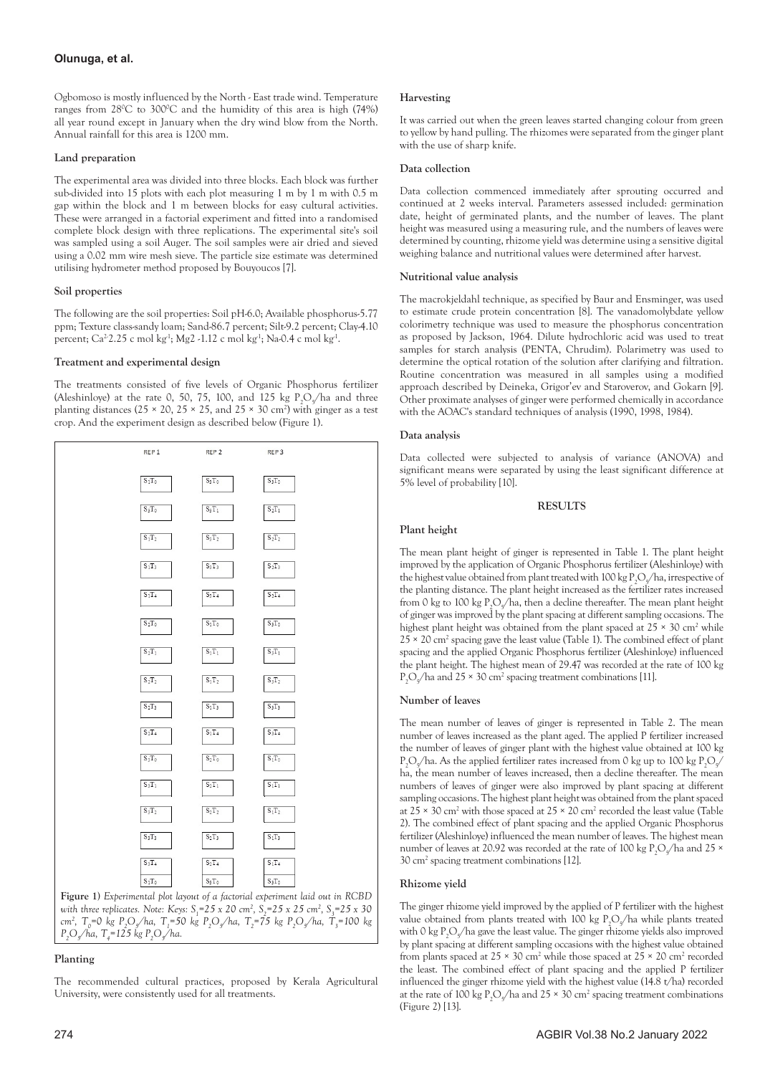# **Olunuga, et al.**

Ogbomoso is mostly influenced by the North - East trade wind. Temperature ranges from 28°C to 300°C and the humidity of this area is high (74%) all year round except in January when the dry wind blow from the North. Annual rainfall for this area is 1200 mm.

## **Land preparation**

The experimental area was divided into three blocks. Each block was further sub-divided into 15 plots with each plot measuring 1 m by 1 m with 0.5 m gap within the block and 1 m between blocks for easy cultural activities. These were arranged in a factorial experiment and fitted into a randomised complete block design with three replications. The experimental site's soil was sampled using a soil Auger. The soil samples were air dried and sieved using a 0.02 mm wire mesh sieve. The particle size estimate was determined utilising hydrometer method proposed by Bouyoucos [7].

### **Soil properties**

The following are the soil properties: Soil pH-6.0; Available phosphorus-5.77 ppm; Texture class-sandy loam; Sand-86.7 percent; Silt-9.2 percent; Clay-4.10 percent; Ca<sup>2</sup>2.25 c mol kg<sup>1</sup>; Mg2 -1.12 c mol kg<sup>1</sup>; Na-0.4 c mol kg<sup>1</sup>.

### **Treatment and experimental design**

The treatments consisted of five levels of Organic Phosphorus fertilizer (Aleshinloye) at the rate 0, 50, 75, 100, and 125 kg  $P_2O_5/h$ a and three planting distances ( $25 \times 20$ ,  $25 \times 25$ , and  $25 \times 30$  cm<sup>2</sup>) with ginger as a test crop. And the experiment design as described below (Figure 1).



**Figure 1)** *Experimental plot layout of a factorial experiment laid out in RCBD with three replicates. Note: Keys:*  $S_1 = 25 \times 20$  cm<sup>2</sup>,  $S_2 = 25 \times 25$  cm<sup>2</sup>,  $S_3 = 25 \times 30$ *cm<sup>2</sup>*, T<sub>0</sub>=0 kg P<sub>2</sub>O<sub>5</sub>/ha, T<sub>1</sub>=50 kg P<sub>2</sub>O<sub>5</sub>/ha, T<sub>2</sub>=75 kg P<sub>2</sub>O<sub>5</sub>/ha, T<sub>3</sub>=100 kg *P2 O5 /ha, T4 =125 kg P2 O5 /ha.*

# **Planting**

The recommended cultural practices, proposed by Kerala Agricultural University, were consistently used for all treatments.

It was carried out when the green leaves started changing colour from green to yellow by hand pulling. The rhizomes were separated from the ginger plant with the use of sharp knife.

## **Data collection**

Data collection commenced immediately after sprouting occurred and continued at 2 weeks interval. Parameters assessed included: germination date, height of germinated plants, and the number of leaves. The plant height was measured using a measuring rule, and the numbers of leaves were determined by counting, rhizome yield was determine using a sensitive digital weighing balance and nutritional values were determined after harvest.

# **Nutritional value analysis**

The macrokjeldahl technique, as specified by Baur and Ensminger, was used to estimate crude protein concentration [8]. The vanadomolybdate yellow colorimetry technique was used to measure the phosphorus concentration as proposed by Jackson, 1964. Dilute hydrochloric acid was used to treat samples for starch analysis (PENTA, Chrudim). Polarimetry was used to determine the optical rotation of the solution after clarifying and filtration. Routine concentration was measured in all samples using a modified approach described by Deineka, Grigor'ev and Staroverov, and Gokarn [9]. Other proximate analyses of ginger were performed chemically in accordance with the AOAC's standard techniques of analysis (1990, 1998, 1984).

### **Data analysis**

Data collected were subjected to analysis of variance (ANOVA) and significant means were separated by using the least significant difference at 5% level of probability [10].

# **RESULTS**

### **Plant height**

The mean plant height of ginger is represented in Table 1. The plant height improved by the application of Organic Phosphorus fertilizer (Aleshinloye) with the highest value obtained from plant treated with 100 kg  $P_2O_{s}/$ ha, irrespective of the planting distance. The plant height increased as the fertilizer rates increased from 0 kg to 100 kg  $P_2O_5$ /ha, then a decline thereafter. The mean plant height of ginger was improved by the plant spacing at different sampling occasions. The highest plant height was obtained from the plant spaced at  $25 \times 30$  cm<sup>2</sup> while  $25 \times 20$  cm<sup>2</sup> spacing gave the least value (Table 1). The combined effect of plant spacing and the applied Organic Phosphorus fertilizer (Aleshinloye) influenced the plant height. The highest mean of 29.47 was recorded at the rate of 100 kg  $P_2O_5$ /ha and 25 × 30 cm<sup>2</sup> spacing treatment combinations [11].

# **Number of leaves**

The mean number of leaves of ginger is represented in Table 2. The mean number of leaves increased as the plant aged. The applied P fertilizer increased the number of leaves of ginger plant with the highest value obtained at 100 kg  $P_2O_s/ha$ . As the applied fertilizer rates increased from 0 kg up to 100 kg  $P_2O_s/$ ha, the mean number of leaves increased, then a decline thereafter. The mean numbers of leaves of ginger were also improved by plant spacing at different sampling occasions. The highest plant height was obtained from the plant spaced at  $25 \times 30$  cm<sup>2</sup> with those spaced at  $25 \times 20$  cm<sup>2</sup> recorded the least value (Table 2). The combined effect of plant spacing and the applied Organic Phosphorus fertilizer (Aleshinloye) influenced the mean number of leaves. The highest mean number of leaves at 20.92 was recorded at the rate of 100 kg  $P_2O_s/ha$  and 25  $\times$ 30 cm2 spacing treatment combinations [12].

# **Rhizome yield**

The ginger rhizome yield improved by the applied of P fertilizer with the highest value obtained from plants treated with 100 kg  $P_2O_5/$  ha while plants treated with 0 kg  $P_2O_5$ /ha gave the least value. The ginger rhizome yields also improved by plant spacing at different sampling occasions with the highest value obtained from plants spaced at  $25 \times 30$  cm<sup>2</sup> while those spaced at  $25 \times 20$  cm<sup>2</sup> recorded the least. The combined effect of plant spacing and the applied P fertilizer influenced the ginger rhizome yield with the highest value (14.8 t/ha) recorded at the rate of 100 kg  $P_2O_5$ /ha and 25 × 30 cm<sup>2</sup> spacing treatment combinations (Figure 2) [13].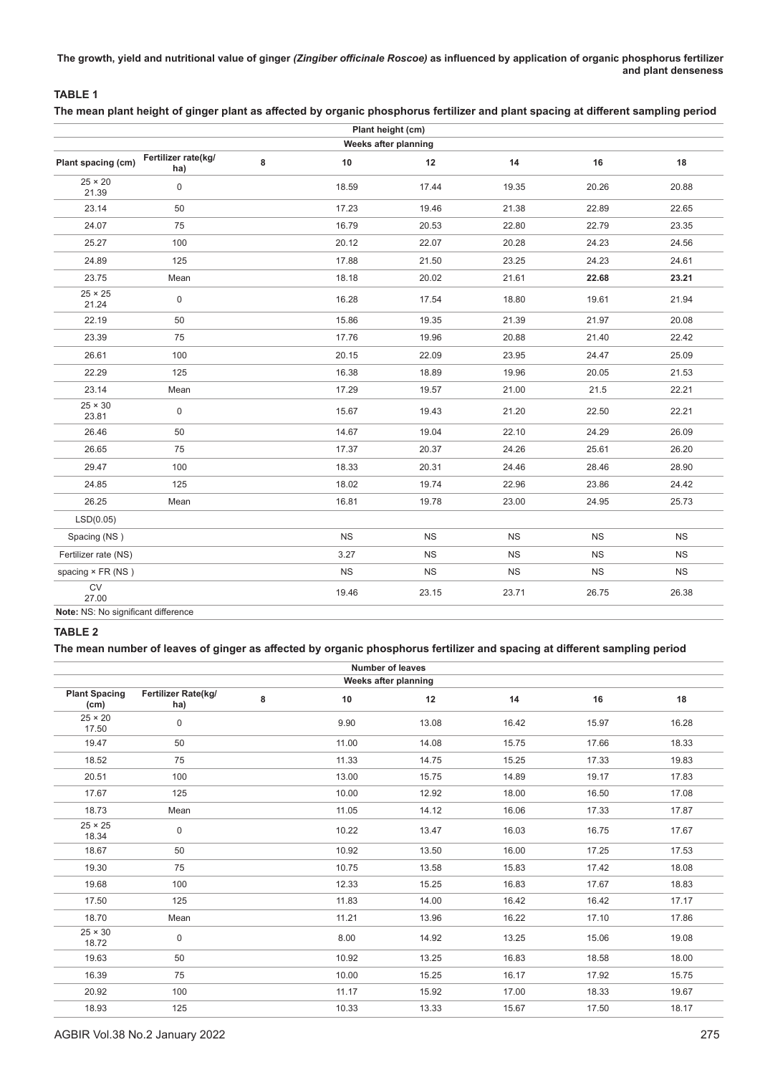**The growth, yield and nutritional value of ginger** *(Zingiber officinale Roscoe)* **as influenced by application of organic phosphorus fertilizer and plant denseness**

# **TABLE 1 The mean plant height of ginger plant as affected by organic phosphorus fertilizer and plant spacing at different sampling period**

| Plant height (cm)                   |                            |   |           |           |           |           |           |  |  |
|-------------------------------------|----------------------------|---|-----------|-----------|-----------|-----------|-----------|--|--|
| Weeks after planning                |                            |   |           |           |           |           |           |  |  |
| Plant spacing (cm)                  | Fertilizer rate(kg/<br>ha) | 8 | 10        | 12        | 14        | 16        | 18        |  |  |
| $25 \times 20$<br>21.39             | 0                          |   | 18.59     | 17.44     | 19.35     | 20.26     | 20.88     |  |  |
| 23.14                               | 50                         |   | 17.23     | 19.46     | 21.38     | 22.89     | 22.65     |  |  |
| 24.07                               | 75                         |   | 16.79     | 20.53     | 22.80     | 22.79     | 23.35     |  |  |
| 25.27                               | 100                        |   | 20.12     | 22.07     | 20.28     | 24.23     | 24.56     |  |  |
| 24.89                               | 125                        |   | 17.88     | 21.50     | 23.25     | 24.23     | 24.61     |  |  |
| 23.75                               | Mean                       |   | 18.18     | 20.02     | 21.61     | 22.68     | 23.21     |  |  |
| $25 \times 25$<br>21.24             | 0                          |   | 16.28     | 17.54     | 18.80     | 19.61     | 21.94     |  |  |
| 22.19                               | 50                         |   | 15.86     | 19.35     | 21.39     | 21.97     | 20.08     |  |  |
| 23.39                               | 75                         |   | 17.76     | 19.96     | 20.88     | 21.40     | 22.42     |  |  |
| 26.61                               | 100                        |   | 20.15     | 22.09     | 23.95     | 24.47     | 25.09     |  |  |
| 22.29                               | 125                        |   | 16.38     | 18.89     | 19.96     | 20.05     | 21.53     |  |  |
| 23.14                               | Mean                       |   | 17.29     | 19.57     | 21.00     | 21.5      | 22.21     |  |  |
| $25 \times 30$<br>23.81             | 0                          |   | 15.67     | 19.43     | 21.20     | 22.50     | 22.21     |  |  |
| 26.46                               | 50                         |   | 14.67     | 19.04     | 22.10     | 24.29     | 26.09     |  |  |
| 26.65                               | 75                         |   | 17.37     | 20.37     | 24.26     | 25.61     | 26.20     |  |  |
| 29.47                               | 100                        |   | 18.33     | 20.31     | 24.46     | 28.46     | 28.90     |  |  |
| 24.85                               | 125                        |   | 18.02     | 19.74     | 22.96     | 23.86     | 24.42     |  |  |
| 26.25                               | Mean                       |   | 16.81     | 19.78     | 23.00     | 24.95     | 25.73     |  |  |
| LSD(0.05)                           |                            |   |           |           |           |           |           |  |  |
| Spacing (NS)                        |                            |   | <b>NS</b> | <b>NS</b> | <b>NS</b> | <b>NS</b> | <b>NS</b> |  |  |
| Fertilizer rate (NS)                |                            |   | 3.27      | <b>NS</b> | <b>NS</b> | <b>NS</b> | <b>NS</b> |  |  |
| spacing × FR (NS)                   |                            |   | <b>NS</b> | <b>NS</b> | <b>NS</b> | <b>NS</b> | <b>NS</b> |  |  |
| ${\sf CV}$<br>27.00                 |                            |   | 19.46     | 23.15     | 23.71     | 26.75     | 26.38     |  |  |
| Note: NS: No significant difference |                            |   |           |           |           |           |           |  |  |

# **TABLE 2**

# **The mean number of leaves of ginger as affected by organic phosphorus fertilizer and spacing at different sampling period**

| <b>Number of leaves</b>      |                            |   |       |       |       |       |       |  |
|------------------------------|----------------------------|---|-------|-------|-------|-------|-------|--|
| Weeks after planning         |                            |   |       |       |       |       |       |  |
| <b>Plant Spacing</b><br>(cm) | Fertilizer Rate(kg/<br>ha) | 8 | 10    | 12    | 14    | 16    | 18    |  |
| $25 \times 20$<br>17.50      | 0                          |   | 9.90  | 13.08 | 16.42 | 15.97 | 16.28 |  |
| 19.47                        | 50                         |   | 11.00 | 14.08 | 15.75 | 17.66 | 18.33 |  |
| 18.52                        | 75                         |   | 11.33 | 14.75 | 15.25 | 17.33 | 19.83 |  |
| 20.51                        | 100                        |   | 13.00 | 15.75 | 14.89 | 19.17 | 17.83 |  |
| 17.67                        | 125                        |   | 10.00 | 12.92 | 18.00 | 16.50 | 17.08 |  |
| 18.73                        | Mean                       |   | 11.05 | 14.12 | 16.06 | 17.33 | 17.87 |  |
| $25 \times 25$<br>18.34      | $\mathsf 0$                |   | 10.22 | 13.47 | 16.03 | 16.75 | 17.67 |  |
| 18.67                        | 50                         |   | 10.92 | 13.50 | 16.00 | 17.25 | 17.53 |  |
| 19.30                        | 75                         |   | 10.75 | 13.58 | 15.83 | 17.42 | 18.08 |  |
| 19.68                        | 100                        |   | 12.33 | 15.25 | 16.83 | 17.67 | 18.83 |  |
| 17.50                        | 125                        |   | 11.83 | 14.00 | 16.42 | 16.42 | 17.17 |  |
| 18.70                        | Mean                       |   | 11.21 | 13.96 | 16.22 | 17.10 | 17.86 |  |
| $25 \times 30$<br>18.72      | $\mathsf 0$                |   | 8.00  | 14.92 | 13.25 | 15.06 | 19.08 |  |
| 19.63                        | 50                         |   | 10.92 | 13.25 | 16.83 | 18.58 | 18.00 |  |
| 16.39                        | 75                         |   | 10.00 | 15.25 | 16.17 | 17.92 | 15.75 |  |
| 20.92                        | 100                        |   | 11.17 | 15.92 | 17.00 | 18.33 | 19.67 |  |
| 18.93                        | 125                        |   | 10.33 | 13.33 | 15.67 | 17.50 | 18.17 |  |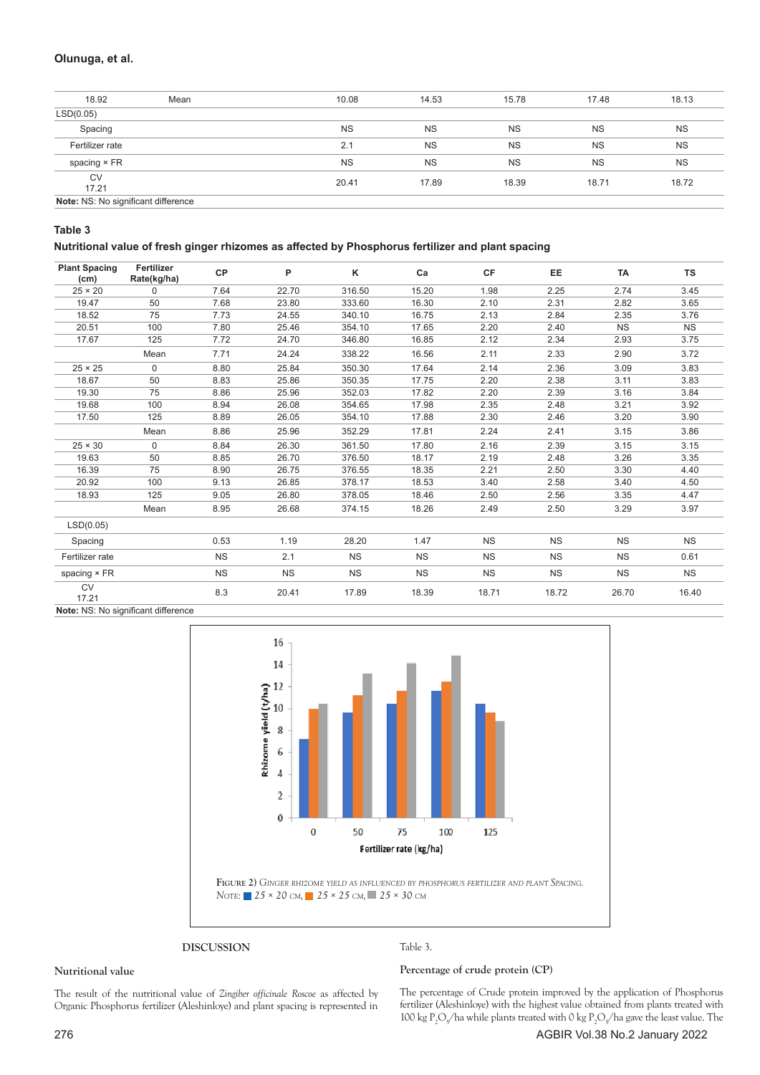# **Olunuga, et al.**

| 18.92                               | Mean | 10.08     | 14.53     | 15.78     | 17.48     | 18.13     |
|-------------------------------------|------|-----------|-----------|-----------|-----------|-----------|
| LSD(0.05)                           |      |           |           |           |           |           |
| Spacing                             |      | <b>NS</b> | <b>NS</b> | <b>NS</b> | <b>NS</b> | <b>NS</b> |
| Fertilizer rate                     |      | 2.1       | <b>NS</b> | <b>NS</b> | <b>NS</b> | <b>NS</b> |
| spacing × FR                        |      | <b>NS</b> | <b>NS</b> | <b>NS</b> | <b>NS</b> | <b>NS</b> |
| CV<br>17.21                         |      | 20.41     | 17.89     | 18.39     | 18.71     | 18.72     |
| Note: NS: No significant difference |      |           |           |           |           |           |

**Table 3**

## **Nutritional value of fresh ginger rhizomes as affected by Phosphorus fertilizer and plant spacing**

| <b>Plant Spacing</b><br>(cm) | Fertilizer<br>Rate(kg/ha) | <b>CP</b> | P         | Κ         | Ca        | <b>CF</b> | EE        | <b>TA</b> | TS        |
|------------------------------|---------------------------|-----------|-----------|-----------|-----------|-----------|-----------|-----------|-----------|
| $25 \times 20$               | $\Omega$                  | 7.64      | 22.70     | 316.50    | 15.20     | 1.98      | 2.25      | 2.74      | 3.45      |
| 19.47                        | 50                        | 7.68      | 23.80     | 333.60    | 16.30     | 2.10      | 2.31      | 2.82      | 3.65      |
| 18.52                        | 75                        | 7.73      | 24.55     | 340.10    | 16.75     | 2.13      | 2.84      | 2.35      | 3.76      |
| 20.51                        | 100                       | 7.80      | 25.46     | 354.10    | 17.65     | 2.20      | 2.40      | <b>NS</b> | <b>NS</b> |
| 17.67                        | 125                       | 7.72      | 24.70     | 346.80    | 16.85     | 2.12      | 2.34      | 2.93      | 3.75      |
|                              | Mean                      | 7.71      | 24.24     | 338.22    | 16.56     | 2.11      | 2.33      | 2.90      | 3.72      |
| $25 \times 25$               | $\Omega$                  | 8.80      | 25.84     | 350.30    | 17.64     | 2.14      | 2.36      | 3.09      | 3.83      |
| 18.67                        | 50                        | 8.83      | 25.86     | 350.35    | 17.75     | 2.20      | 2.38      | 3.11      | 3.83      |
| 19.30                        | 75                        | 8.86      | 25.96     | 352.03    | 17.82     | 2.20      | 2.39      | 3.16      | 3.84      |
| 19.68                        | 100                       | 8.94      | 26.08     | 354.65    | 17.98     | 2.35      | 2.48      | 3.21      | 3.92      |
| 17.50                        | 125                       | 8.89      | 26.05     | 354.10    | 17.88     | 2.30      | 2.46      | 3.20      | 3.90      |
|                              | Mean                      | 8.86      | 25.96     | 352.29    | 17.81     | 2.24      | 2.41      | 3.15      | 3.86      |
| $25 \times 30$               | $\Omega$                  | 8.84      | 26.30     | 361.50    | 17.80     | 2.16      | 2.39      | 3.15      | 3.15      |
| 19.63                        | 50                        | 8.85      | 26.70     | 376.50    | 18.17     | 2.19      | 2.48      | 3.26      | 3.35      |
| 16.39                        | 75                        | 8.90      | 26.75     | 376.55    | 18.35     | 2.21      | 2.50      | 3.30      | 4.40      |
| 20.92                        | 100                       | 9.13      | 26.85     | 378.17    | 18.53     | 3.40      | 2.58      | 3.40      | 4.50      |
| 18.93                        | 125                       | 9.05      | 26.80     | 378.05    | 18.46     | 2.50      | 2.56      | 3.35      | 4.47      |
|                              | Mean                      | 8.95      | 26.68     | 374.15    | 18.26     | 2.49      | 2.50      | 3.29      | 3.97      |
| LSD(0.05)                    |                           |           |           |           |           |           |           |           |           |
| Spacing                      |                           | 0.53      | 1.19      | 28.20     | 1.47      | <b>NS</b> | <b>NS</b> | <b>NS</b> | <b>NS</b> |
| Fertilizer rate              |                           | <b>NS</b> | 2.1       | <b>NS</b> | <b>NS</b> | <b>NS</b> | <b>NS</b> | <b>NS</b> | 0.61      |
| spacing × FR                 |                           | <b>NS</b> | <b>NS</b> | <b>NS</b> | <b>NS</b> | <b>NS</b> | <b>NS</b> | <b>NS</b> | <b>NS</b> |
| <b>CV</b><br>17.21           |                           | 8.3       | 20.41     | 17.89     | 18.39     | 18.71     | 18.72     | 26.70     | 16.40     |

**Note:** NS: No significant difference



**DISCUSSION**

#### **Nutritional value**

Table 3.

The result of the nutritional value of *Zingiber officinale Roscoe* as affected by Organic Phosphorus fertilizer (Aleshinloye) and plant spacing is represented in **Percentage of crude protein (CP)**

The percentage of Crude protein improved by the application of Phosphorus fertilizer (Aleshinloye) with the highest value obtained from plants treated with 100 kg  $P_2O_5$ /ha while plants treated with 0 kg  $P_2O_5$ /ha gave the least value. The